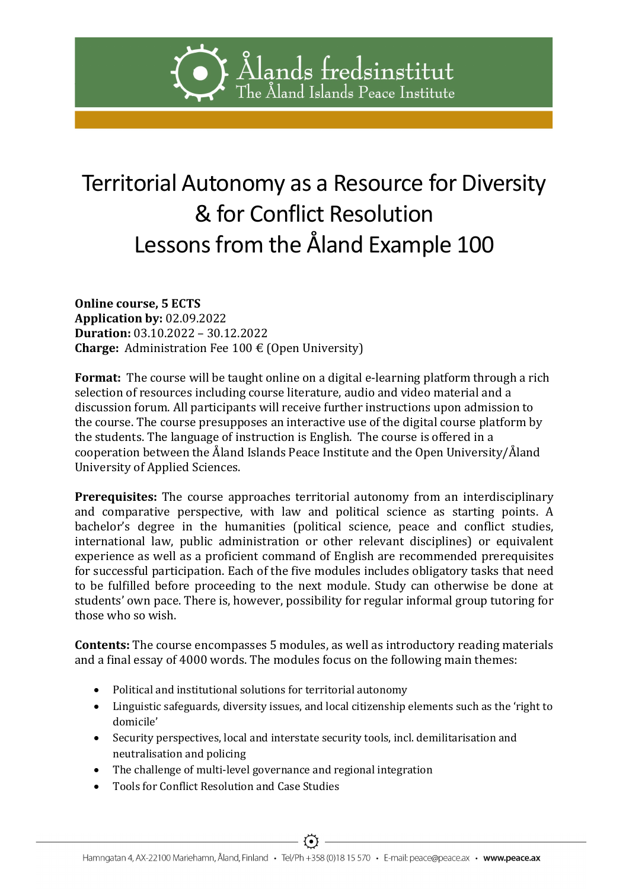# Ålands fredsinstitut The Åland Islands Peace Institute

# Territorial Autonomy as a Resource for Diversity & for Conflict Resolution Lessons from the Åland Example 100

Online course, 5 ECTS Application by: 02.09.2022 Duration: 03.10.2022 – 30.12.2022 **Charge:** Administration Fee 100  $\epsilon$  (Open University)

Format: The course will be taught online on a digital e-learning platform through a rich selection of resources including course literature, audio and video material and a discussion forum. All participants will receive further instructions upon admission to the course. The course presupposes an interactive use of the digital course platform by the students. The language of instruction is English. The course is offered in a cooperation between the Åland Islands Peace Institute and the Open University/Åland University of Applied Sciences.

Prerequisites: The course approaches territorial autonomy from an interdisciplinary and comparative perspective, with law and political science as starting points. A bachelor's degree in the humanities (political science, peace and conflict studies, international law, public administration or other relevant disciplines) or equivalent experience as well as a proficient command of English are recommended prerequisites for successful participation. Each of the five modules includes obligatory tasks that need to be fulfilled before proceeding to the next module. Study can otherwise be done at students' own pace. There is, however, possibility for regular informal group tutoring for those who so wish.

Contents: The course encompasses 5 modules, as well as introductory reading materials and a final essay of 4000 words. The modules focus on the following main themes:

- Political and institutional solutions for territorial autonomy
- Linguistic safeguards, diversity issues, and local citizenship elements such as the 'right to domicile'
- Security perspectives, local and interstate security tools, incl. demilitarisation and neutralisation and policing
- The challenge of multi-level governance and regional integration
- Tools for Conflict Resolution and Case Studies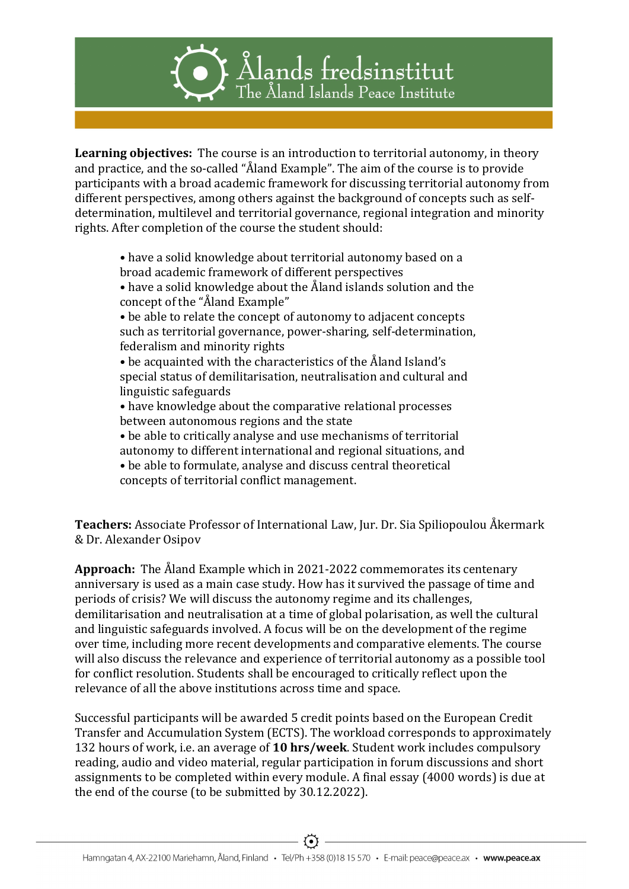# Alands fredsinstitut The Åland Islands Peace Institute

Learning objectives: The course is an introduction to territorial autonomy, in theory and practice, and the so-called "Åland Example". The aim of the course is to provide participants with a broad academic framework for discussing territorial autonomy from different perspectives, among others against the background of concepts such as selfdetermination, multilevel and territorial governance, regional integration and minority rights. After completion of the course the student should:

• have a solid knowledge about territorial autonomy based on a broad academic framework of different perspectives

• have a solid knowledge about the Åland islands solution and the concept of the "Åland Example"

• be able to relate the concept of autonomy to adjacent concepts such as territorial governance, power-sharing, self-determination, federalism and minority rights

• be acquainted with the characteristics of the Åland Island's special status of demilitarisation, neutralisation and cultural and linguistic safeguards

• have knowledge about the comparative relational processes between autonomous regions and the state

- be able to critically analyse and use mechanisms of territorial autonomy to different international and regional situations, and
- be able to formulate, analyse and discuss central theoretical concepts of territorial conflict management.

Teachers: Associate Professor of International Law, Jur. Dr. Sia Spiliopoulou Åkermark & Dr. Alexander Osipov

Approach: The Åland Example which in 2021-2022 commemorates its centenary anniversary is used as a main case study. How has it survived the passage of time and periods of crisis? We will discuss the autonomy regime and its challenges, demilitarisation and neutralisation at a time of global polarisation, as well the cultural and linguistic safeguards involved. A focus will be on the development of the regime over time, including more recent developments and comparative elements. The course will also discuss the relevance and experience of territorial autonomy as a possible tool for conflict resolution. Students shall be encouraged to critically reflect upon the relevance of all the above institutions across time and space.

Successful participants will be awarded 5 credit points based on the European Credit Transfer and Accumulation System (ECTS). The workload corresponds to approximately 132 hours of work, i.e. an average of 10 hrs/week. Student work includes compulsory reading, audio and video material, regular participation in forum discussions and short assignments to be completed within every module. A final essay (4000 words) is due at the end of the course (to be submitted by 30.12.2022).